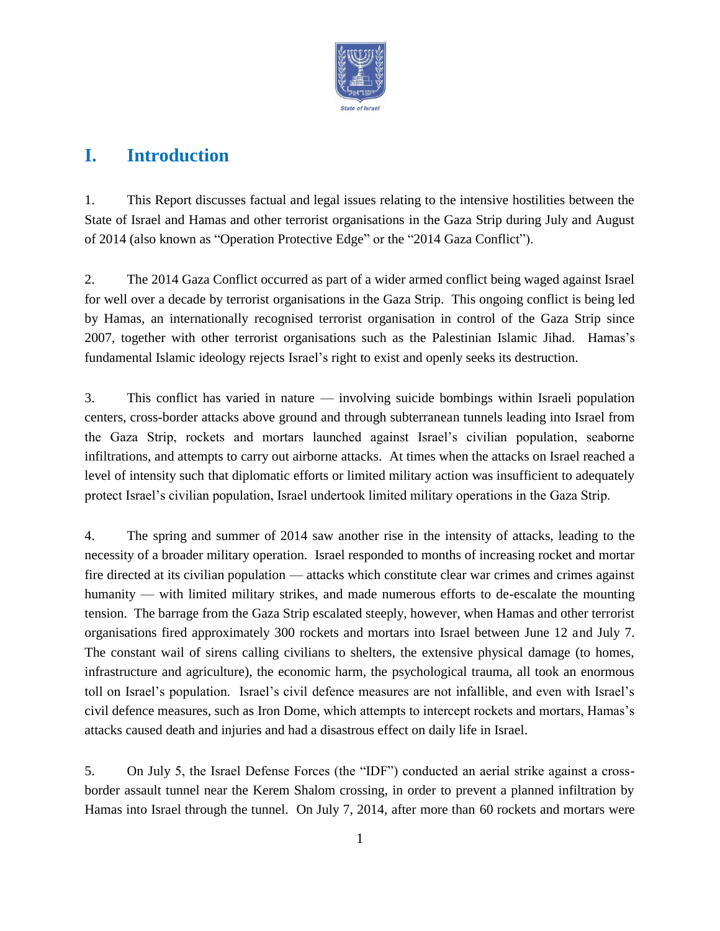

## **I. Introduction**

1. This Report discusses factual and legal issues relating to the intensive hostilities between the State of Israel and Hamas and other terrorist organisations in the Gaza Strip during July and August of 2014 (also known as "Operation Protective Edge" or the "2014 Gaza Conflict").

2. The 2014 Gaza Conflict occurred as part of a wider armed conflict being waged against Israel for well over a decade by terrorist organisations in the Gaza Strip. This ongoing conflict is being led by Hamas, an internationally recognised terrorist organisation in control of the Gaza Strip since 2007, together with other terrorist organisations such as the Palestinian Islamic Jihad. Hamas's fundamental Islamic ideology rejects Israel's right to exist and openly seeks its destruction.

3. This conflict has varied in nature — involving suicide bombings within Israeli population centers, cross-border attacks above ground and through subterranean tunnels leading into Israel from the Gaza Strip, rockets and mortars launched against Israel's civilian population, seaborne infiltrations, and attempts to carry out airborne attacks. At times when the attacks on Israel reached a level of intensity such that diplomatic efforts or limited military action was insufficient to adequately protect Israel's civilian population, Israel undertook limited military operations in the Gaza Strip.

4. The spring and summer of 2014 saw another rise in the intensity of attacks, leading to the necessity of a broader military operation. Israel responded to months of increasing rocket and mortar fire directed at its civilian population — attacks which constitute clear war crimes and crimes against humanity — with limited military strikes, and made numerous efforts to de-escalate the mounting tension. The barrage from the Gaza Strip escalated steeply, however, when Hamas and other terrorist organisations fired approximately 300 rockets and mortars into Israel between June 12 and July 7. The constant wail of sirens calling civilians to shelters, the extensive physical damage (to homes, infrastructure and agriculture), the economic harm, the psychological trauma, all took an enormous toll on Israel's population. Israel's civil defence measures are not infallible, and even with Israel's civil defence measures, such as Iron Dome, which attempts to intercept rockets and mortars, Hamas's attacks caused death and injuries and had a disastrous effect on daily life in Israel.

5. On July 5, the Israel Defense Forces (the "IDF") conducted an aerial strike against a crossborder assault tunnel near the Kerem Shalom crossing, in order to prevent a planned infiltration by Hamas into Israel through the tunnel. On July 7, 2014, after more than 60 rockets and mortars were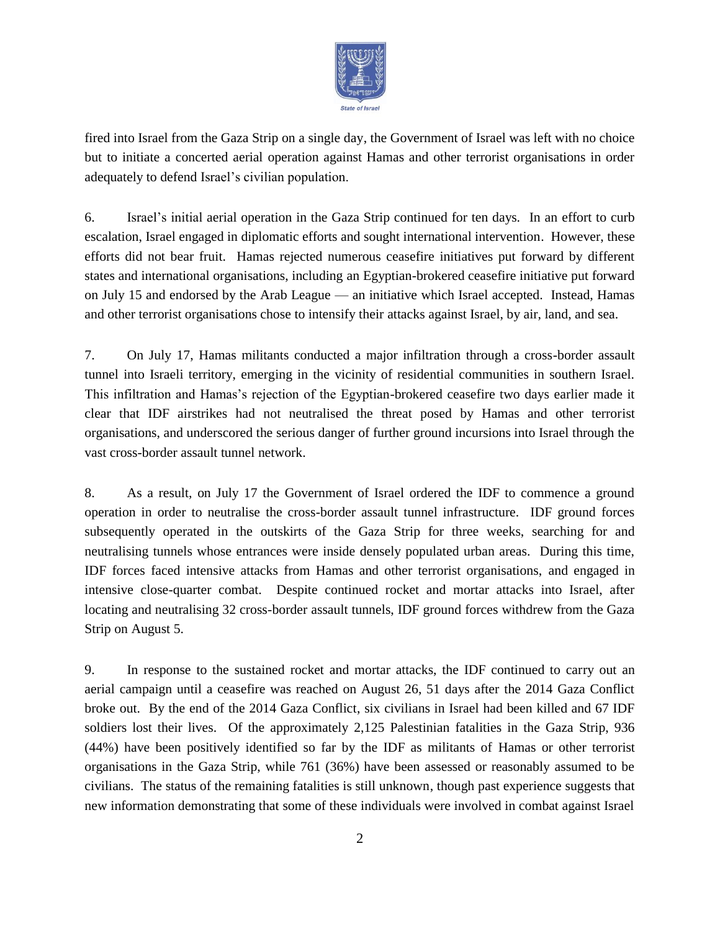

fired into Israel from the Gaza Strip on a single day, the Government of Israel was left with no choice but to initiate a concerted aerial operation against Hamas and other terrorist organisations in order adequately to defend Israel's civilian population.

6. Israel's initial aerial operation in the Gaza Strip continued for ten days. In an effort to curb escalation, Israel engaged in diplomatic efforts and sought international intervention. However, these efforts did not bear fruit. Hamas rejected numerous ceasefire initiatives put forward by different states and international organisations, including an Egyptian-brokered ceasefire initiative put forward on July 15 and endorsed by the Arab League — an initiative which Israel accepted. Instead, Hamas and other terrorist organisations chose to intensify their attacks against Israel, by air, land, and sea.

7. On July 17, Hamas militants conducted a major infiltration through a cross-border assault tunnel into Israeli territory, emerging in the vicinity of residential communities in southern Israel. This infiltration and Hamas's rejection of the Egyptian-brokered ceasefire two days earlier made it clear that IDF airstrikes had not neutralised the threat posed by Hamas and other terrorist organisations, and underscored the serious danger of further ground incursions into Israel through the vast cross-border assault tunnel network.

8. As a result, on July 17 the Government of Israel ordered the IDF to commence a ground operation in order to neutralise the cross-border assault tunnel infrastructure. IDF ground forces subsequently operated in the outskirts of the Gaza Strip for three weeks, searching for and neutralising tunnels whose entrances were inside densely populated urban areas. During this time, IDF forces faced intensive attacks from Hamas and other terrorist organisations, and engaged in intensive close-quarter combat. Despite continued rocket and mortar attacks into Israel, after locating and neutralising 32 cross-border assault tunnels, IDF ground forces withdrew from the Gaza Strip on August 5.

9. In response to the sustained rocket and mortar attacks, the IDF continued to carry out an aerial campaign until a ceasefire was reached on August 26, 51 days after the 2014 Gaza Conflict broke out. By the end of the 2014 Gaza Conflict, six civilians in Israel had been killed and 67 IDF soldiers lost their lives. Of the approximately 2,125 Palestinian fatalities in the Gaza Strip, 936 (44%) have been positively identified so far by the IDF as militants of Hamas or other terrorist organisations in the Gaza Strip, while 761 (36%) have been assessed or reasonably assumed to be civilians. The status of the remaining fatalities is still unknown, though past experience suggests that new information demonstrating that some of these individuals were involved in combat against Israel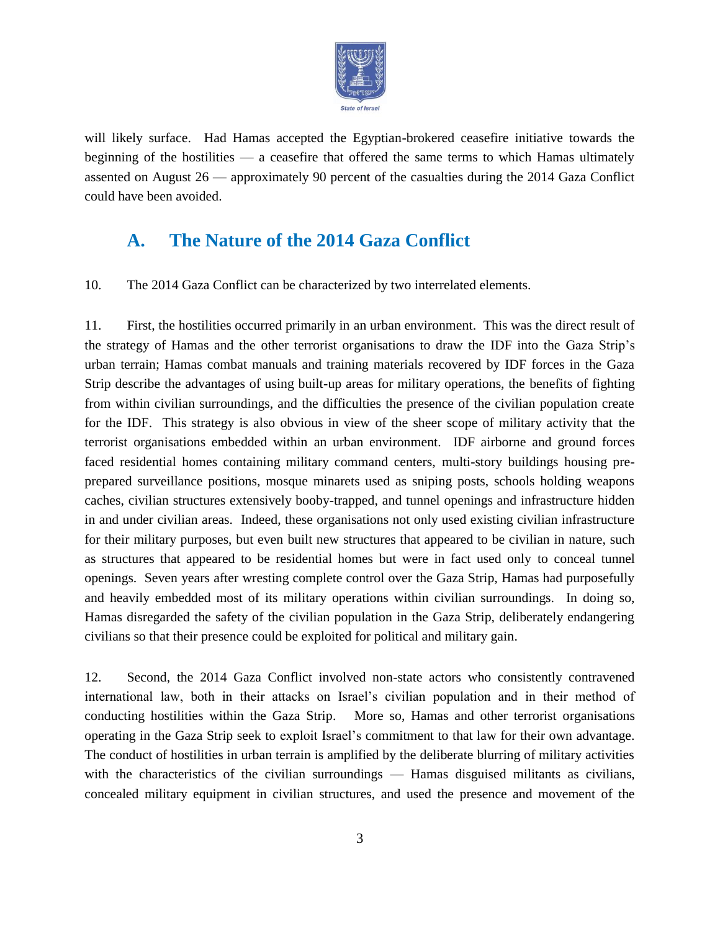

will likely surface. Had Hamas accepted the Egyptian-brokered ceasefire initiative towards the beginning of the hostilities — a ceasefire that offered the same terms to which Hamas ultimately assented on August 26 — approximately 90 percent of the casualties during the 2014 Gaza Conflict could have been avoided.

## **A. The Nature of the 2014 Gaza Conflict**

10. The 2014 Gaza Conflict can be characterized by two interrelated elements.

11. First, the hostilities occurred primarily in an urban environment. This was the direct result of the strategy of Hamas and the other terrorist organisations to draw the IDF into the Gaza Strip's urban terrain; Hamas combat manuals and training materials recovered by IDF forces in the Gaza Strip describe the advantages of using built-up areas for military operations, the benefits of fighting from within civilian surroundings, and the difficulties the presence of the civilian population create for the IDF. This strategy is also obvious in view of the sheer scope of military activity that the terrorist organisations embedded within an urban environment. IDF airborne and ground forces faced residential homes containing military command centers, multi-story buildings housing preprepared surveillance positions, mosque minarets used as sniping posts, schools holding weapons caches, civilian structures extensively booby-trapped, and tunnel openings and infrastructure hidden in and under civilian areas. Indeed, these organisations not only used existing civilian infrastructure for their military purposes, but even built new structures that appeared to be civilian in nature, such as structures that appeared to be residential homes but were in fact used only to conceal tunnel openings. Seven years after wresting complete control over the Gaza Strip, Hamas had purposefully and heavily embedded most of its military operations within civilian surroundings. In doing so, Hamas disregarded the safety of the civilian population in the Gaza Strip, deliberately endangering civilians so that their presence could be exploited for political and military gain.

12. Second, the 2014 Gaza Conflict involved non-state actors who consistently contravened international law, both in their attacks on Israel's civilian population and in their method of conducting hostilities within the Gaza Strip. More so, Hamas and other terrorist organisations operating in the Gaza Strip seek to exploit Israel's commitment to that law for their own advantage. The conduct of hostilities in urban terrain is amplified by the deliberate blurring of military activities with the characteristics of the civilian surroundings — Hamas disguised militants as civilians, concealed military equipment in civilian structures, and used the presence and movement of the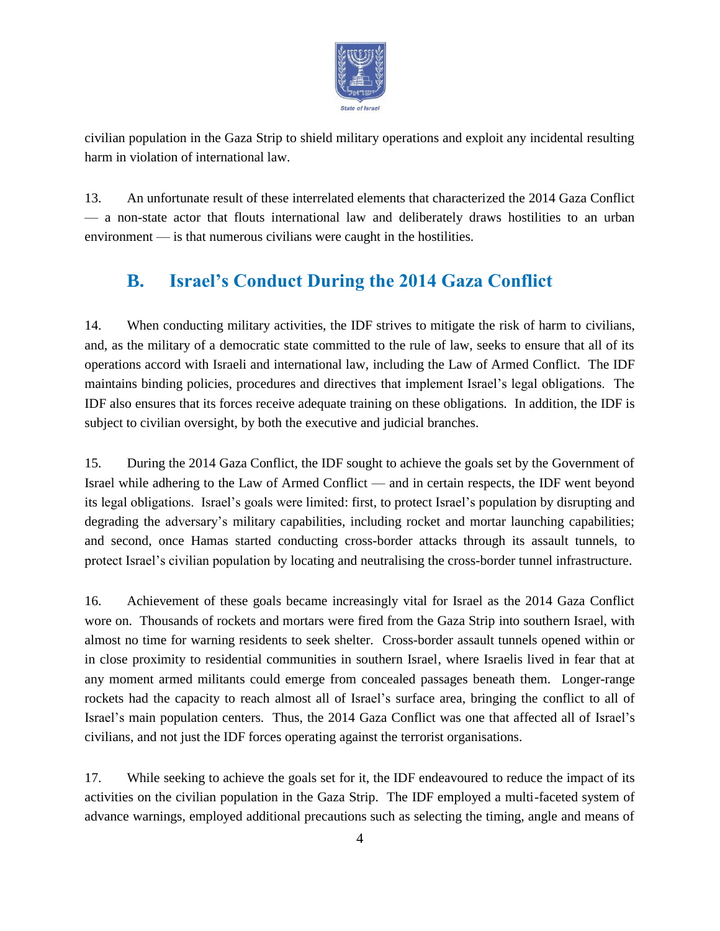

civilian population in the Gaza Strip to shield military operations and exploit any incidental resulting harm in violation of international law.

13. An unfortunate result of these interrelated elements that characterized the 2014 Gaza Conflict — a non-state actor that flouts international law and deliberately draws hostilities to an urban environment — is that numerous civilians were caught in the hostilities.

# **B. Israel's Conduct During the 2014 Gaza Conflict**

14. When conducting military activities, the IDF strives to mitigate the risk of harm to civilians, and, as the military of a democratic state committed to the rule of law, seeks to ensure that all of its operations accord with Israeli and international law, including the Law of Armed Conflict. The IDF maintains binding policies, procedures and directives that implement Israel's legal obligations. The IDF also ensures that its forces receive adequate training on these obligations. In addition, the IDF is subject to civilian oversight, by both the executive and judicial branches.

15. During the 2014 Gaza Conflict, the IDF sought to achieve the goals set by the Government of Israel while adhering to the Law of Armed Conflict — and in certain respects, the IDF went beyond its legal obligations. Israel's goals were limited: first, to protect Israel's population by disrupting and degrading the adversary's military capabilities, including rocket and mortar launching capabilities; and second, once Hamas started conducting cross-border attacks through its assault tunnels, to protect Israel's civilian population by locating and neutralising the cross-border tunnel infrastructure.

16. Achievement of these goals became increasingly vital for Israel as the 2014 Gaza Conflict wore on. Thousands of rockets and mortars were fired from the Gaza Strip into southern Israel, with almost no time for warning residents to seek shelter. Cross-border assault tunnels opened within or in close proximity to residential communities in southern Israel, where Israelis lived in fear that at any moment armed militants could emerge from concealed passages beneath them. Longer-range rockets had the capacity to reach almost all of Israel's surface area, bringing the conflict to all of Israel's main population centers. Thus, the 2014 Gaza Conflict was one that affected all of Israel's civilians, and not just the IDF forces operating against the terrorist organisations.

17. While seeking to achieve the goals set for it, the IDF endeavoured to reduce the impact of its activities on the civilian population in the Gaza Strip. The IDF employed a multi-faceted system of advance warnings, employed additional precautions such as selecting the timing, angle and means of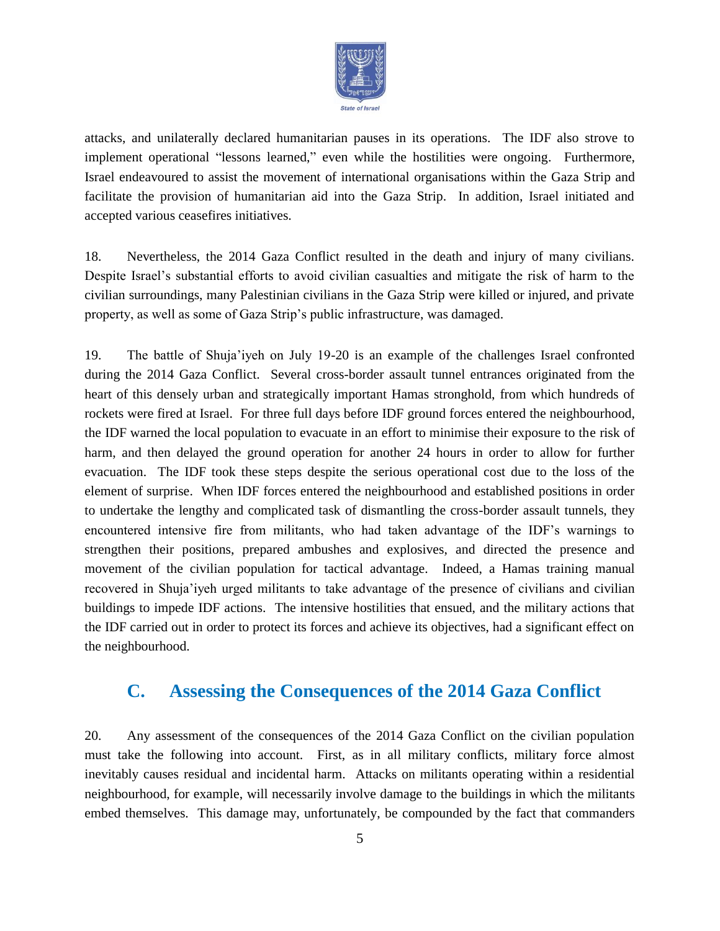

attacks, and unilaterally declared humanitarian pauses in its operations. The IDF also strove to implement operational "lessons learned," even while the hostilities were ongoing. Furthermore, Israel endeavoured to assist the movement of international organisations within the Gaza Strip and facilitate the provision of humanitarian aid into the Gaza Strip. In addition, Israel initiated and accepted various ceasefires initiatives.

18. Nevertheless, the 2014 Gaza Conflict resulted in the death and injury of many civilians. Despite Israel's substantial efforts to avoid civilian casualties and mitigate the risk of harm to the civilian surroundings, many Palestinian civilians in the Gaza Strip were killed or injured, and private property, as well as some of Gaza Strip's public infrastructure, was damaged.

19. The battle of Shuja'iyeh on July 19-20 is an example of the challenges Israel confronted during the 2014 Gaza Conflict. Several cross-border assault tunnel entrances originated from the heart of this densely urban and strategically important Hamas stronghold, from which hundreds of rockets were fired at Israel. For three full days before IDF ground forces entered the neighbourhood, the IDF warned the local population to evacuate in an effort to minimise their exposure to the risk of harm, and then delayed the ground operation for another 24 hours in order to allow for further evacuation. The IDF took these steps despite the serious operational cost due to the loss of the element of surprise. When IDF forces entered the neighbourhood and established positions in order to undertake the lengthy and complicated task of dismantling the cross-border assault tunnels, they encountered intensive fire from militants, who had taken advantage of the IDF's warnings to strengthen their positions, prepared ambushes and explosives, and directed the presence and movement of the civilian population for tactical advantage. Indeed, a Hamas training manual recovered in Shuja'iyeh urged militants to take advantage of the presence of civilians and civilian buildings to impede IDF actions. The intensive hostilities that ensued, and the military actions that the IDF carried out in order to protect its forces and achieve its objectives, had a significant effect on the neighbourhood.

#### **C. Assessing the Consequences of the 2014 Gaza Conflict**

20. Any assessment of the consequences of the 2014 Gaza Conflict on the civilian population must take the following into account. First, as in all military conflicts, military force almost inevitably causes residual and incidental harm. Attacks on militants operating within a residential neighbourhood, for example, will necessarily involve damage to the buildings in which the militants embed themselves. This damage may, unfortunately, be compounded by the fact that commanders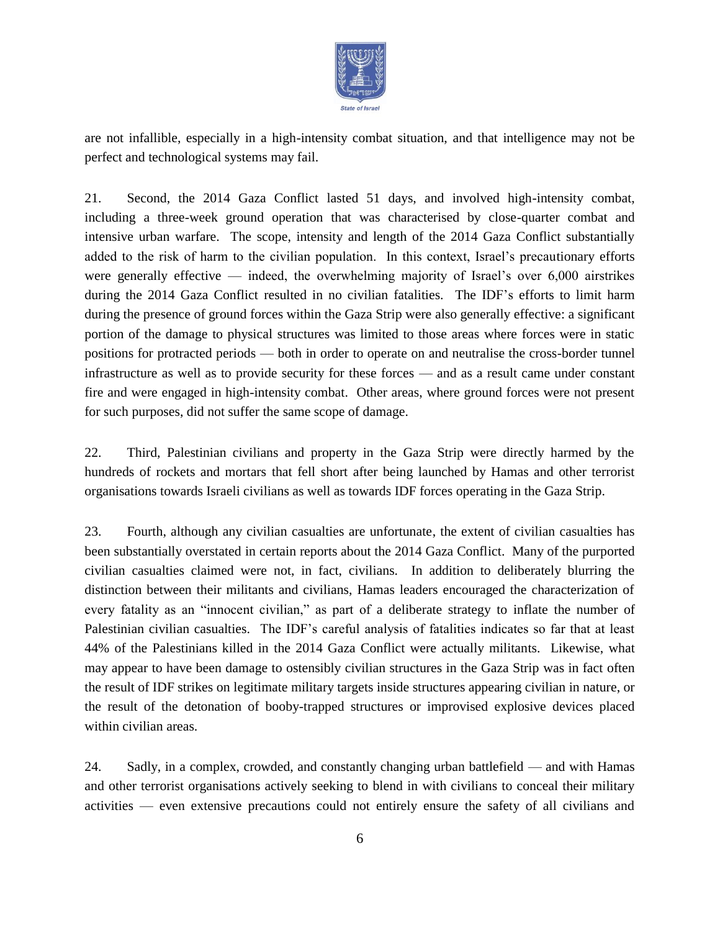

are not infallible, especially in a high-intensity combat situation, and that intelligence may not be perfect and technological systems may fail.

21. Second, the 2014 Gaza Conflict lasted 51 days, and involved high-intensity combat, including a three-week ground operation that was characterised by close-quarter combat and intensive urban warfare. The scope, intensity and length of the 2014 Gaza Conflict substantially added to the risk of harm to the civilian population. In this context, Israel's precautionary efforts were generally effective — indeed, the overwhelming majority of Israel's over 6,000 airstrikes during the 2014 Gaza Conflict resulted in no civilian fatalities. The IDF's efforts to limit harm during the presence of ground forces within the Gaza Strip were also generally effective: a significant portion of the damage to physical structures was limited to those areas where forces were in static positions for protracted periods — both in order to operate on and neutralise the cross-border tunnel infrastructure as well as to provide security for these forces — and as a result came under constant fire and were engaged in high-intensity combat. Other areas, where ground forces were not present for such purposes, did not suffer the same scope of damage.

22. Third, Palestinian civilians and property in the Gaza Strip were directly harmed by the hundreds of rockets and mortars that fell short after being launched by Hamas and other terrorist organisations towards Israeli civilians as well as towards IDF forces operating in the Gaza Strip.

23. Fourth, although any civilian casualties are unfortunate, the extent of civilian casualties has been substantially overstated in certain reports about the 2014 Gaza Conflict. Many of the purported civilian casualties claimed were not, in fact, civilians. In addition to deliberately blurring the distinction between their militants and civilians, Hamas leaders encouraged the characterization of every fatality as an "innocent civilian," as part of a deliberate strategy to inflate the number of Palestinian civilian casualties. The IDF's careful analysis of fatalities indicates so far that at least 44% of the Palestinians killed in the 2014 Gaza Conflict were actually militants. Likewise, what may appear to have been damage to ostensibly civilian structures in the Gaza Strip was in fact often the result of IDF strikes on legitimate military targets inside structures appearing civilian in nature, or the result of the detonation of booby-trapped structures or improvised explosive devices placed within civilian areas.

24. Sadly, in a complex, crowded, and constantly changing urban battlefield — and with Hamas and other terrorist organisations actively seeking to blend in with civilians to conceal their military activities — even extensive precautions could not entirely ensure the safety of all civilians and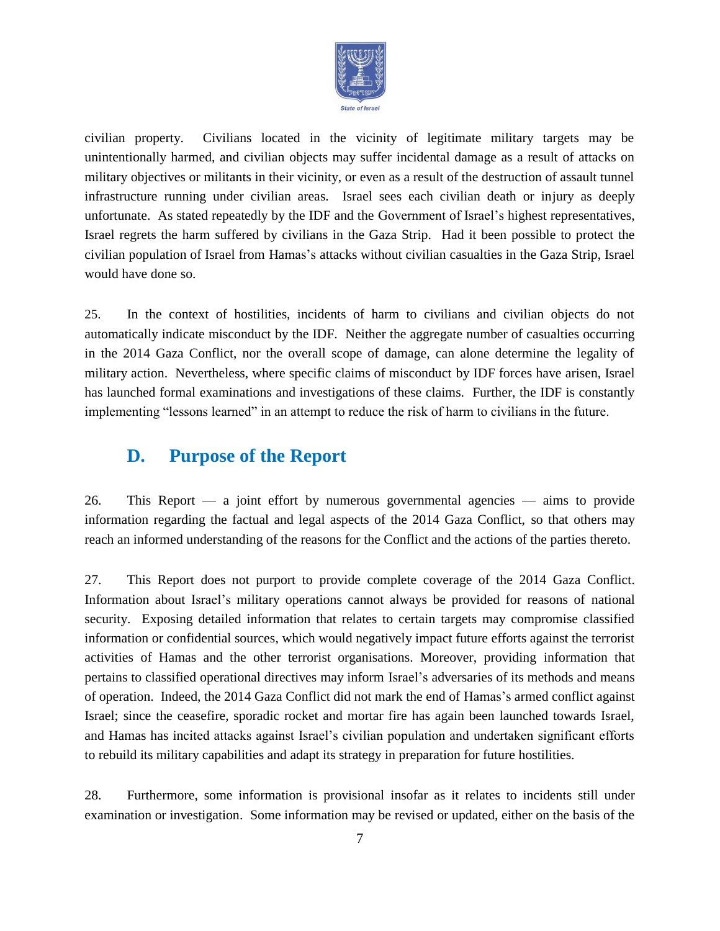

civilian property. Civilians located in the vicinity of legitimate military targets may be unintentionally harmed, and civilian objects may suffer incidental damage as a result of attacks on military objectives or militants in their vicinity, or even as a result of the destruction of assault tunnel infrastructure running under civilian areas. Israel sees each civilian death or injury as deeply unfortunate. As stated repeatedly by the IDF and the Government of Israel's highest representatives, Israel regrets the harm suffered by civilians in the Gaza Strip. Had it been possible to protect the civilian population of Israel from Hamas's attacks without civilian casualties in the Gaza Strip, Israel would have done so.

25. In the context of hostilities, incidents of harm to civilians and civilian objects do not automatically indicate misconduct by the IDF. Neither the aggregate number of casualties occurring in the 2014 Gaza Conflict, nor the overall scope of damage, can alone determine the legality of military action. Nevertheless, where specific claims of misconduct by IDF forces have arisen, Israel has launched formal examinations and investigations of these claims. Further, the IDF is constantly implementing "lessons learned" in an attempt to reduce the risk of harm to civilians in the future.

### **D. Purpose of the Report**

26. This Report — a joint effort by numerous governmental agencies — aims to provide information regarding the factual and legal aspects of the 2014 Gaza Conflict, so that others may reach an informed understanding of the reasons for the Conflict and the actions of the parties thereto.

27. This Report does not purport to provide complete coverage of the 2014 Gaza Conflict. Information about Israel's military operations cannot always be provided for reasons of national security. Exposing detailed information that relates to certain targets may compromise classified information or confidential sources, which would negatively impact future efforts against the terrorist activities of Hamas and the other terrorist organisations. Moreover, providing information that pertains to classified operational directives may inform Israel's adversaries of its methods and means of operation. Indeed, the 2014 Gaza Conflict did not mark the end of Hamas's armed conflict against Israel; since the ceasefire, sporadic rocket and mortar fire has again been launched towards Israel, and Hamas has incited attacks against Israel's civilian population and undertaken significant efforts to rebuild its military capabilities and adapt its strategy in preparation for future hostilities.

28. Furthermore, some information is provisional insofar as it relates to incidents still under examination or investigation. Some information may be revised or updated, either on the basis of the